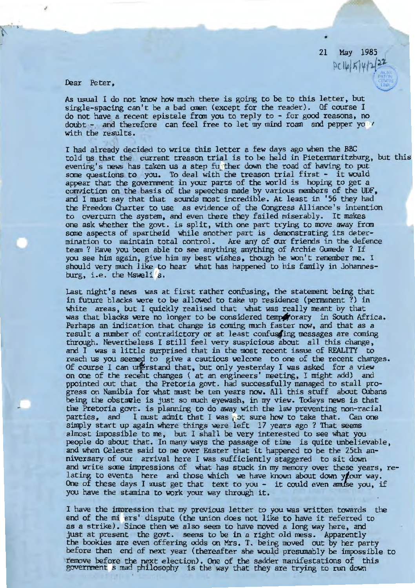21 May 1985  $PC16|K|4|222$ 

•

Dear Peter,

As usual I do not know how much there is going to be to this letter, but single-spacing can't be a bad anen (except for the reader). Of course I do not have a recent epistele fran you to reply to - for good reasons, no doubt - and therefore can feel free to let my mind roam and pepper yo  $\prime$  with the results.

I had already decided to write this letter a few days ago when the BBC told us that the current treason trial is to be held in Pietennaritzburg, but this evening's news has taken us a step fu ther down the road of having to put some questions to you. To deal with the treason trial first - it would appear that the government in your parts of the world is hoping to get a conviction on the basis of the speeches made by various members of the UDF, and I must say that that sounds most incredible. At least in '56 they had the Freedcm Charter to use as evidence of the Congress Alliance's intention to overturn the system, and even there they failed miserably. It makes one ask whether the govt. is split, with one part trying to move away from some aspects of apartheid while another part is demonstrating its determination to maintain total control. Are any of our friends in the defence team? Have you been able to see anything anything of Archie Gunede? If you see him again, give him my best wishes, though he won't remember me. I should very much like to hear what has happened to his family in Johannesburg, i.e. the Msweli's.

Last night's news was at first rather confusing, the statement being that in future blacks were to be allawed to take up residence (permanent?) in white areas, but I quickly realised that what was really meant by that was that blacks were no longer to be considered temps for ary in South Africa. Perhaps an indication that change is coming much faster now, and that as a result a number of contradictory or at least confusaing messages are coming through. Nevertheless I still feel very suspicious about all this change, and I was a little surprised that in the most recent issue of REALITY to reach us you seemed to give a cautious welcome to one of the recent changes. Of course I can unerstand that, but only yesterday I was asked for a view on one of the recent changes ( at an engineers' meeting, I might add) and ppointed out that the Pretoria govt. had successfully managed to stall progress on Namibia for what must be ten years now. All this stuff about Cubans being the obstavle is just so nuch eyewash, in my view. Todays news is that the Pretoria govt. is planning to do away with the law preventing non-racial parties, and I must admit that I was jot sure how to take that. Can one simply start up again where things were left 17 years ago? That seems almost impossible to me, but I shall be very interested to see what you people do about that. In many ways the passage of time is quite unbelievable, and when Celeste said to me over Easter that it happened to be the 25th anniversary of our arrival here I was sufficiently staggered to sit down and write some impressions of what has stuck in my memory over these years, relating to events here and those which we have known about down your way. One of these days I must get that text to you - it could even amuse you, if you have the stamina to work your way through it.

I have the impression that my previous letter to you was written towards the end of the mi ers' dispute (the union does not like to have it referred to as a strike). Since then we also seem to have moved a long way here, and just at present the govt. seems to be in a right old mess. Apparently the bookies are even offering odds on Mrs. T. being moved out by her party before then end of next year (thereafter she would presumably be impossible to remove before the next election). One of the sadder manifestations of this goverrroent s mad philosophy is the way that they are trying to run down